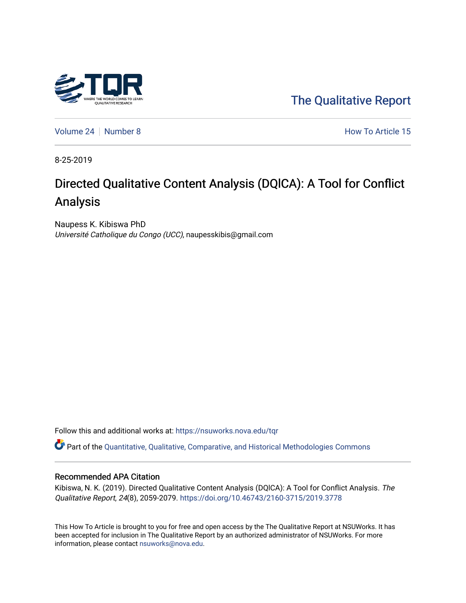

[The Qualitative Report](https://nsuworks.nova.edu/tqr) 

[Volume 24](https://nsuworks.nova.edu/tqr/vol24) | [Number 8](https://nsuworks.nova.edu/tqr/vol24/iss8) How To Article 15

8-25-2019

# Directed Qualitative Content Analysis (DQlCA): A Tool for Conflict Analysis

Naupess K. Kibiswa PhD Université Catholique du Congo (UCC), naupesskibis@gmail.com

Follow this and additional works at: [https://nsuworks.nova.edu/tqr](https://nsuworks.nova.edu/tqr?utm_source=nsuworks.nova.edu%2Ftqr%2Fvol24%2Fiss8%2F15&utm_medium=PDF&utm_campaign=PDFCoverPages) 

Part of the [Quantitative, Qualitative, Comparative, and Historical Methodologies Commons](http://network.bepress.com/hgg/discipline/423?utm_source=nsuworks.nova.edu%2Ftqr%2Fvol24%2Fiss8%2F15&utm_medium=PDF&utm_campaign=PDFCoverPages) 

#### Recommended APA Citation

Kibiswa, N. K. (2019). Directed Qualitative Content Analysis (DQlCA): A Tool for Conflict Analysis. The Qualitative Report, 24(8), 2059-2079. <https://doi.org/10.46743/2160-3715/2019.3778>

This How To Article is brought to you for free and open access by the The Qualitative Report at NSUWorks. It has been accepted for inclusion in The Qualitative Report by an authorized administrator of NSUWorks. For more information, please contact [nsuworks@nova.edu.](mailto:nsuworks@nova.edu)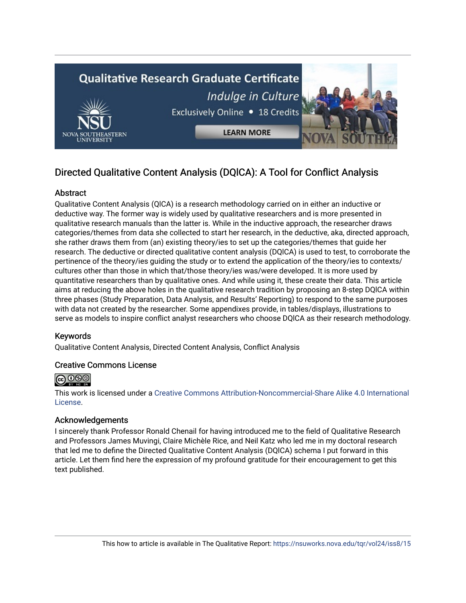

# Directed Qualitative Content Analysis (DQlCA): A Tool for Conflict Analysis

# Abstract

Qualitative Content Analysis (QlCA) is a research methodology carried on in either an inductive or deductive way. The former way is widely used by qualitative researchers and is more presented in qualitative research manuals than the latter is. While in the inductive approach, the researcher draws categories/themes from data she collected to start her research, in the deductive, aka, directed approach, she rather draws them from (an) existing theory/ies to set up the categories/themes that guide her research. The deductive or directed qualitative content analysis (DQlCA) is used to test, to corroborate the pertinence of the theory/ies guiding the study or to extend the application of the theory/ies to contexts/ cultures other than those in which that/those theory/ies was/were developed. It is more used by quantitative researchers than by qualitative ones. And while using it, these create their data. This article aims at reducing the above holes in the qualitative research tradition by proposing an 8-step DQlCA within three phases (Study Preparation, Data Analysis, and Results' Reporting) to respond to the same purposes with data not created by the researcher. Some appendixes provide, in tables/displays, illustrations to serve as models to inspire conflict analyst researchers who choose DQlCA as their research methodology.

## Keywords

Qualitative Content Analysis, Directed Content Analysis, Conflict Analysis

## Creative Commons License



This work is licensed under a [Creative Commons Attribution-Noncommercial-Share Alike 4.0 International](https://creativecommons.org/licenses/by-nc-sa/4.0/)  [License](https://creativecommons.org/licenses/by-nc-sa/4.0/).

## Acknowledgements

I sincerely thank Professor Ronald Chenail for having introduced me to the field of Qualitative Research and Professors James Muvingi, Claire Michèle Rice, and Neil Katz who led me in my doctoral research that led me to define the Directed Qualitative Content Analysis (DQlCA) schema I put forward in this article. Let them find here the expression of my profound gratitude for their encouragement to get this text published.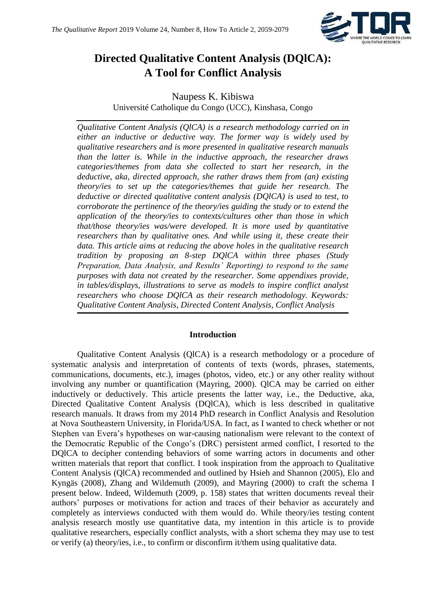

# **Directed Qualitative Content Analysis (DQlCA): A Tool for Conflict Analysis**

Naupess K. Kibiswa Université Catholique du Congo (UCC), Kinshasa, Congo

*Qualitative Content Analysis (QlCA) is a research methodology carried on in either an inductive or deductive way. The former way is widely used by qualitative researchers and is more presented in qualitative research manuals than the latter is. While in the inductive approach, the researcher draws categories/themes from data she collected to start her research, in the deductive, aka, directed approach, she rather draws them from (an) existing theory/ies to set up the categories/themes that guide her research. The deductive or directed qualitative content analysis (DQlCA) is used to test, to corroborate the pertinence of the theory/ies guiding the study or to extend the application of the theory/ies to contexts/cultures other than those in which that/those theory/ies was/were developed. It is more used by quantitative researchers than by qualitative ones. And while using it, these create their data. This article aims at reducing the above holes in the qualitative research tradition by proposing an 8-step DQlCA within three phases (Study Preparation, Data Analysis, and Results' Reporting) to respond to the same purposes with data not created by the researcher. Some appendixes provide, in tables/displays, illustrations to serve as models to inspire conflict analyst researchers who choose DQlCA as their research methodology. Keywords: Qualitative Content Analysis, Directed Content Analysis, Conflict Analysis*

## **Introduction**

Qualitative Content Analysis (QlCA) is a research methodology or a procedure of systematic analysis and interpretation of contents of texts (words, phrases, statements, communications, documents, etc.), images (photos, video, etc.) or any other reality without involving any number or quantification (Mayring, 2000). QlCA may be carried on either inductively or deductively. This article presents the latter way, i.e., the Deductive, aka, Directed Qualitative Content Analysis (DQlCA), which is less described in qualitative research manuals. It draws from my 2014 PhD research in Conflict Analysis and Resolution at Nova Southeastern University, in Florida/USA. In fact, as I wanted to check whether or not Stephen van Evera's hypotheses on war-causing nationalism were relevant to the context of the Democratic Republic of the Congo's (DRC) persistent armed conflict, I resorted to the DQlCA to decipher contending behaviors of some warring actors in documents and other written materials that report that conflict. I took inspiration from the approach to Qualitative Content Analysis (QlCA) recommended and outlined by Hsieh and Shannon (2005), Elo and Kyngäs (2008), Zhang and Wildemuth (2009), and Mayring (2000) to craft the schema I present below. Indeed, Wildemuth (2009, p. 158) states that written documents reveal their authors' purposes or motivations for action and traces of their behavior as accurately and completely as interviews conducted with them would do. While theory/ies testing content analysis research mostly use quantitative data, my intention in this article is to provide qualitative researchers, especially conflict analysts, with a short schema they may use to test or verify (a) theory/ies, i.e., to confirm or disconfirm it/them using qualitative data.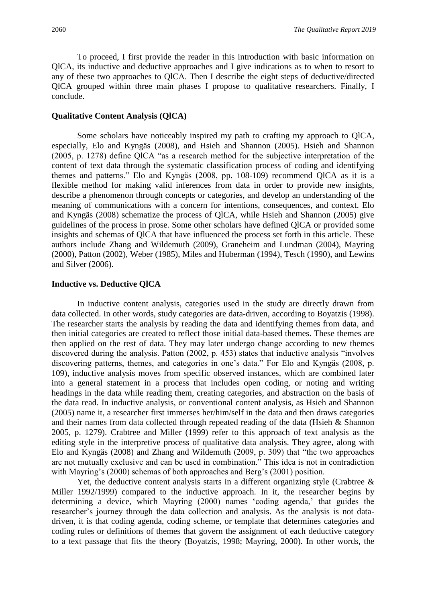To proceed, I first provide the reader in this introduction with basic information on QlCA, its inductive and deductive approaches and I give indications as to when to resort to any of these two approaches to QlCA. Then I describe the eight steps of deductive/directed QlCA grouped within three main phases I propose to qualitative researchers. Finally, I conclude.

### **Qualitative Content Analysis (QlCA)**

Some scholars have noticeably inspired my path to crafting my approach to QlCA, especially, Elo and Kyngäs (2008), and Hsieh and Shannon (2005). Hsieh and Shannon (2005, p. 1278) define QlCA "as a research method for the subjective interpretation of the content of text data through the systematic classification process of coding and identifying themes and patterns." Elo and Kyngäs (2008, pp. 108-109) recommend QlCA as it is a flexible method for making valid inferences from data in order to provide new insights, describe a phenomenon through concepts or categories, and develop an understanding of the meaning of communications with a concern for intentions, consequences, and context. Elo and Kyngäs (2008) schematize the process of QlCA, while Hsieh and Shannon (2005) give guidelines of the process in prose. Some other scholars have defined QlCA or provided some insights and schemas of QlCA that have influenced the process set forth in this article. These authors include Zhang and Wildemuth (2009), Graneheim and Lundman (2004), Mayring (2000), Patton (2002), Weber (1985), Miles and Huberman (1994), Tesch (1990), and Lewins and Silver (2006).

#### **Inductive vs. Deductive QlCA**

In inductive content analysis, categories used in the study are directly drawn from data collected. In other words, study categories are data-driven, according to Boyatzis (1998). The researcher starts the analysis by reading the data and identifying themes from data, and then initial categories are created to reflect those initial data-based themes. These themes are then applied on the rest of data. They may later undergo change according to new themes discovered during the analysis. Patton (2002, p. 453) states that inductive analysis "involves discovering patterns, themes, and categories in one's data." For Elo and Kyngäs (2008, p. 109), inductive analysis moves from specific observed instances, which are combined later into a general statement in a process that includes open coding, or noting and writing headings in the data while reading them, creating categories, and abstraction on the basis of the data read. In inductive analysis, or conventional content analysis, as Hsieh and Shannon (2005) name it, a researcher first immerses her/him/self in the data and then draws categories and their names from data collected through repeated reading of the data (Hsieh & Shannon 2005, p. 1279). Crabtree and Miller (1999) refer to this approach of text analysis as the editing style in the interpretive process of qualitative data analysis. They agree, along with Elo and Kyngäs (2008) and Zhang and Wildemuth (2009, p. 309) that "the two approaches are not mutually exclusive and can be used in combination." This idea is not in contradiction with Mayring's (2000) schemas of both approaches and Berg's (2001) position.

Yet, the deductive content analysis starts in a different organizing style (Crabtree  $\&$ Miller 1992/1999) compared to the inductive approach. In it, the researcher begins by determining a device, which Mayring (2000) names 'coding agenda,' that guides the researcher's journey through the data collection and analysis. As the analysis is not datadriven, it is that coding agenda, coding scheme, or template that determines categories and coding rules or definitions of themes that govern the assignment of each deductive category to a text passage that fits the theory (Boyatzis, 1998; Mayring, 2000). In other words, the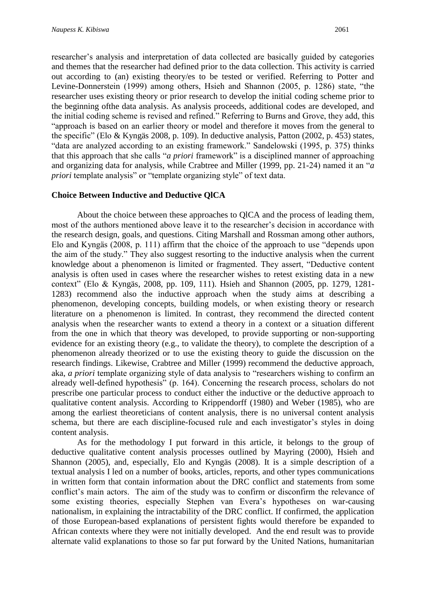researcher's analysis and interpretation of data collected are basically guided by categories and themes that the researcher had defined prior to the data collection. This activity is carried out according to (an) existing theory/es to be tested or verified. Referring to Potter and Levine-Donnerstein (1999) among others, Hsieh and Shannon (2005, p. 1286) state, "the researcher uses existing theory or prior research to develop the initial coding scheme prior to the beginning ofthe data analysis. As analysis proceeds, additional codes are developed, and the initial coding scheme is revised and refined." Referring to Burns and Grove, they add, this "approach is based on an earlier theory or model and therefore it moves from the general to the specific" (Elo & Kyngäs 2008, p. 109). In deductive analysis, Patton (2002, p. 453) states, "data are analyzed according to an existing framework." Sandelowski (1995, p. 375) thinks that this approach that she calls "*a priori* framework" is a disciplined manner of approaching and organizing data for analysis, while Crabtree and Miller (1999, pp. 21-24) named it an "*a priori* template analysis" or "template organizing style" of text data.

## **Choice Between Inductive and Deductive QlCA**

About the choice between these approaches to QlCA and the process of leading them, most of the authors mentioned above leave it to the researcher's decision in accordance with the research design, goals, and questions. Citing Marshall and Rossman among other authors, Elo and Kyngäs (2008, p. 111) affirm that the choice of the approach to use "depends upon the aim of the study." They also suggest resorting to the inductive analysis when the current knowledge about a phenomenon is limited or fragmented. They assert, "Deductive content analysis is often used in cases where the researcher wishes to retest existing data in a new context" (Elo & Kyngäs, 2008, pp. 109, 111). Hsieh and Shannon (2005, pp. 1279, 1281- 1283) recommend also the inductive approach when the study aims at describing a phenomenon, developing concepts, building models, or when existing theory or research literature on a phenomenon is limited. In contrast, they recommend the directed content analysis when the researcher wants to extend a theory in a context or a situation different from the one in which that theory was developed, to provide supporting or non-supporting evidence for an existing theory (e.g., to validate the theory), to complete the description of a phenomenon already theorized or to use the existing theory to guide the discussion on the research findings. Likewise, Crabtree and Miller (1999) recommend the deductive approach, aka, *a priori* template organizing style of data analysis to "researchers wishing to confirm an already well-defined hypothesis" (p. 164). Concerning the research process, scholars do not prescribe one particular process to conduct either the inductive or the deductive approach to qualitative content analysis. According to Krippendorff (1980) and Weber (1985), who are among the earliest theoreticians of content analysis, there is no universal content analysis schema, but there are each discipline-focused rule and each investigator's styles in doing content analysis.

As for the methodology I put forward in this article, it belongs to the group of deductive qualitative content analysis processes outlined by Mayring (2000), Hsieh and Shannon (2005), and, especially, Elo and Kyngäs (2008). It is a simple description of a textual analysis I led on a number of books, articles, reports, and other types communications in written form that contain information about the DRC conflict and statements from some conflict's main actors. The aim of the study was to confirm or disconfirm the relevance of some existing theories, especially Stephen van Evera's hypotheses on war-causing nationalism, in explaining the intractability of the DRC conflict. If confirmed, the application of those European-based explanations of persistent fights would therefore be expanded to African contexts where they were not initially developed. And the end result was to provide alternate valid explanations to those so far put forward by the United Nations, humanitarian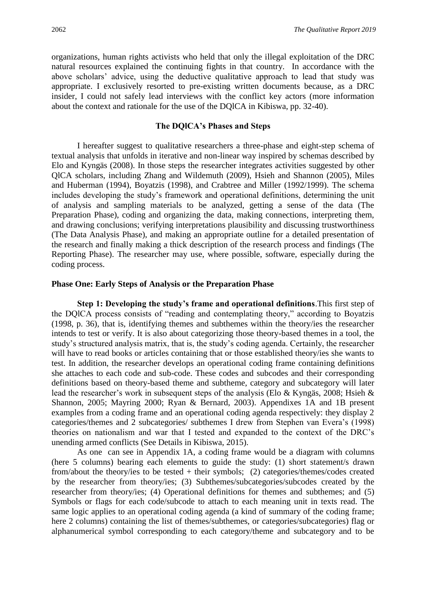organizations, human rights activists who held that only the illegal exploitation of the DRC natural resources explained the continuing fights in that country. In accordance with the above scholars' advice, using the deductive qualitative approach to lead that study was appropriate. I exclusively resorted to pre-existing written documents because, as a DRC insider, I could not safely lead interviews with the conflict key actors (more information about the context and rationale for the use of the DQlCA in Kibiswa, pp. 32-40).

## **The DQlCA's Phases and Steps**

I hereafter suggest to qualitative researchers a three-phase and eight-step schema of textual analysis that unfolds in iterative and non-linear way inspired by schemas described by Elo and Kyngäs (2008). In those steps the researcher integrates activities suggested by other QlCA scholars, including Zhang and Wildemuth (2009), Hsieh and Shannon (2005), Miles and Huberman (1994), Boyatzis (1998), and Crabtree and Miller (1992/1999). The schema includes developing the study's framework and operational definitions, determining the unit of analysis and sampling materials to be analyzed, getting a sense of the data (The Preparation Phase), coding and organizing the data, making connections, interpreting them, and drawing conclusions; verifying interpretations plausibility and discussing trustworthiness (The Data Analysis Phase), and making an appropriate outline for a detailed presentation of the research and finally making a thick description of the research process and findings (The Reporting Phase). The researcher may use, where possible, software, especially during the coding process.

#### **Phase One: Early Steps of Analysis or the Preparation Phase**

**Step 1: Developing the study's frame and operational definitions**.This first step of the DQlCA process consists of "reading and contemplating theory," according to Boyatzis (1998, p. 36), that is, identifying themes and subthemes within the theory/ies the researcher intends to test or verify. It is also about categorizing those theory-based themes in a tool, the study's structured analysis matrix, that is, the study's coding agenda. Certainly, the researcher will have to read books or articles containing that or those established theory/ies she wants to test. In addition, the researcher develops an operational coding frame containing definitions she attaches to each code and sub-code. These codes and subcodes and their corresponding definitions based on theory-based theme and subtheme, category and subcategory will later lead the researcher's work in subsequent steps of the analysis (Elo & Kyngäs, 2008; Hsieh & Shannon, 2005; Mayring 2000; Ryan & Bernard, 2003). Appendixes 1A and 1B present examples from a coding frame and an operational coding agenda respectively: they display 2 categories/themes and 2 subcategories/ subthemes I drew from Stephen van Evera's (1998) theories on nationalism and war that I tested and expanded to the context of the DRC's unending armed conflicts (See Details in Kibiswa, 2015).

As one can see in Appendix 1A, a coding frame would be a diagram with columns (here 5 columns) bearing each elements to guide the study: (1) short statement/s drawn from/about the theory/ies to be tested + their symbols; (2) categories/themes/codes created by the researcher from theory/ies; (3) Subthemes/subcategories/subcodes created by the researcher from theory/ies; (4) Operational definitions for themes and subthemes; and (5) Symbols or flags for each code/subcode to attach to each meaning unit in texts read. The same logic applies to an operational coding agenda (a kind of summary of the coding frame; here 2 columns) containing the list of themes/subthemes, or categories/subcategories) flag or alphanumerical symbol corresponding to each category/theme and subcategory and to be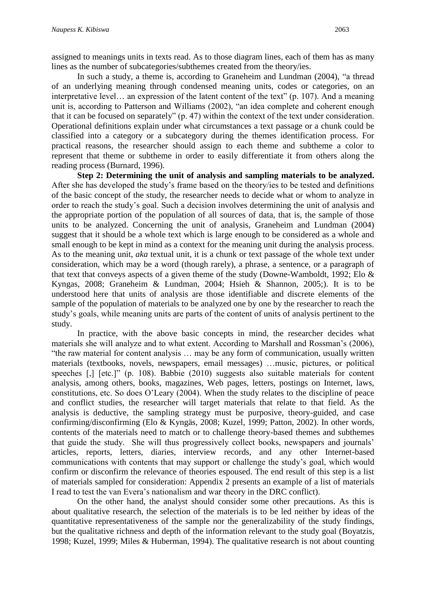assigned to meanings units in texts read. As to those diagram lines, each of them has as many lines as the number of subcategories/subthemes created from the theory/ies.

In such a study, a theme is, according to Graneheim and Lundman (2004), "a thread of an underlying meaning through condensed meaning units, codes or categories, on an interpretative level… an expression of the latent content of the text" (p. 107). And a meaning unit is, according to Patterson and Williams (2002), "an idea complete and coherent enough that it can be focused on separately" (p. 47) within the context of the text under consideration. Operational definitions explain under what circumstances a text passage or a chunk could be classified into a category or a subcategory during the themes identification process. For practical reasons, the researcher should assign to each theme and subtheme a color to represent that theme or subtheme in order to easily differentiate it from others along the reading process (Burnard, 1996).

**Step 2: Determining the unit of analysis and sampling materials to be analyzed.**  After she has developed the study's frame based on the theory/ies to be tested and definitions of the basic concept of the study, the researcher needs to decide what or whom to analyze in order to reach the study's goal. Such a decision involves determining the unit of analysis and the appropriate portion of the population of all sources of data, that is, the sample of those units to be analyzed. Concerning the unit of analysis, Graneheim and Lundman (2004) suggest that it should be a whole text which is large enough to be considered as a whole and small enough to be kept in mind as a context for the meaning unit during the analysis process. As to the meaning unit, *aka* textual unit, it is a chunk or text passage of the whole text under consideration, which may be a word (though rarely), a phrase, a sentence, or a paragraph of that text that conveys aspects of a given theme of the study (Downe-Wamboldt, 1992; Elo & Kyngas, 2008; Graneheim & Lundman, 2004; Hsieh & Shannon, 2005;). It is to be understood here that units of analysis are those identifiable and discrete elements of the sample of the population of materials to be analyzed one by one by the researcher to reach the study's goals, while meaning units are parts of the content of units of analysis pertinent to the study.

In practice, with the above basic concepts in mind, the researcher decides what materials she will analyze and to what extent. According to Marshall and Rossman's (2006), "the raw material for content analysis … may be any form of communication, usually written materials (textbooks, novels, newspapers, email messages) …music, pictures, or political speeches [,] [etc.]" (p. 108). Babbie (2010) suggests also suitable materials for content analysis, among others, books, magazines, Web pages, letters, postings on Internet, laws, constitutions, etc. So does O'Leary (2004). When the study relates to the discipline of peace and conflict studies, the researcher will target materials that relate to that field. As the analysis is deductive, the sampling strategy must be purposive, theory-guided, and case confirming/disconfirming (Elo & Kyngäs, 2008; Kuzel, 1999; Patton, 2002). In other words, contents of the materials need to match or to challenge theory-based themes and subthemes that guide the study. She will thus progressively collect books, newspapers and journals' articles, reports, letters, diaries, interview records, and any other Internet-based communications with contents that may support or challenge the study's goal, which would confirm or disconfirm the relevance of theories espoused. The end result of this step is a list of materials sampled for consideration: Appendix 2 presents an example of a list of materials I read to test the van Evera's nationalism and war theory in the DRC conflict).

On the other hand, the analyst should consider some other precautions. As this is about qualitative research, the selection of the materials is to be led neither by ideas of the quantitative representativeness of the sample nor the generalizability of the study findings, but the qualitative richness and depth of the information relevant to the study goal (Boyatzis, 1998; Kuzel, 1999; Miles & Huberman, 1994). The qualitative research is not about counting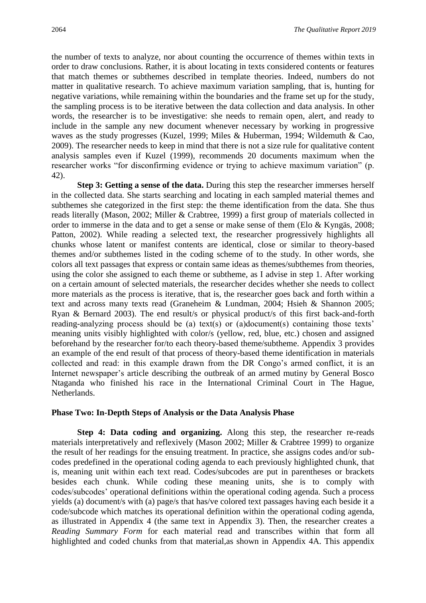the number of texts to analyze, nor about counting the occurrence of themes within texts in order to draw conclusions. Rather, it is about locating in texts considered contents or features that match themes or subthemes described in template theories. Indeed, numbers do not matter in qualitative research. To achieve maximum variation sampling, that is, hunting for negative variations, while remaining within the boundaries and the frame set up for the study, the sampling process is to be iterative between the data collection and data analysis. In other words, the researcher is to be investigative: she needs to remain open, alert, and ready to include in the sample any new document whenever necessary by working in progressive waves as the study progresses (Kuzel, 1999; Miles & Huberman, 1994; Wildemuth & Cao, 2009). The researcher needs to keep in mind that there is not a size rule for qualitative content analysis samples even if Kuzel (1999), recommends 20 documents maximum when the researcher works "for disconfirming evidence or trying to achieve maximum variation" (p. 42).

**Step 3: Getting a sense of the data.** During this step the researcher immerses herself in the collected data. She starts searching and locating in each sampled material themes and subthemes she categorized in the first step: the theme identification from the data. She thus reads literally (Mason, 2002; Miller & Crabtree, 1999) a first group of materials collected in order to immerse in the data and to get a sense or make sense of them (Elo  $\&$  Kyngäs, 2008; Patton, 2002). While reading a selected text, the researcher progressively highlights all chunks whose latent or manifest contents are identical, close or similar to theory-based themes and/or subthemes listed in the coding scheme of to the study. In other words, she colors all text passages that express or contain same ideas as themes/subthemes from theories, using the color she assigned to each theme or subtheme, as I advise in step 1. After working on a certain amount of selected materials, the researcher decides whether she needs to collect more materials as the process is iterative, that is, the researcher goes back and forth within a text and across many texts read (Graneheim & Lundman, 2004; Hsieh & Shannon 2005; Ryan & Bernard 2003). The end result/s or physical product/s of this first back-and-forth reading-analyzing process should be (a) text(s) or (a)document(s) containing those texts' meaning units visibly highlighted with color/s (yellow, red, blue, etc.) chosen and assigned beforehand by the researcher for/to each theory-based theme/subtheme. Appendix 3 provides an example of the end result of that process of theory-based theme identification in materials collected and read: in this example drawn from the DR Congo's armed conflict, it is an Internet newspaper's article describing the outbreak of an armed mutiny by General Bosco Ntaganda who finished his race in the International Criminal Court in The Hague, Netherlands.

## **Phase Two: In-Depth Steps of Analysis or the Data Analysis Phase**

**Step 4: Data coding and organizing.** Along this step, the researcher re-reads materials interpretatively and reflexively (Mason 2002; Miller & Crabtree 1999) to organize the result of her readings for the ensuing treatment. In practice, she assigns codes and/or subcodes predefined in the operational coding agenda to each previously highlighted chunk, that is, meaning unit within each text read. Codes/subcodes are put in parentheses or brackets besides each chunk. While coding these meaning units, she is to comply with codes/subcodes' operational definitions within the operational coding agenda. Such a process yields (a) document/s with (a) page/s that has/ve colored text passages having each beside it a code/subcode which matches its operational definition within the operational coding agenda, as illustrated in Appendix 4 (the same text in Appendix 3). Then, the researcher creates a *Reading Summary Form* for each material read and transcribes within that form all highlighted and coded chunks from that material,as shown in Appendix 4A. This appendix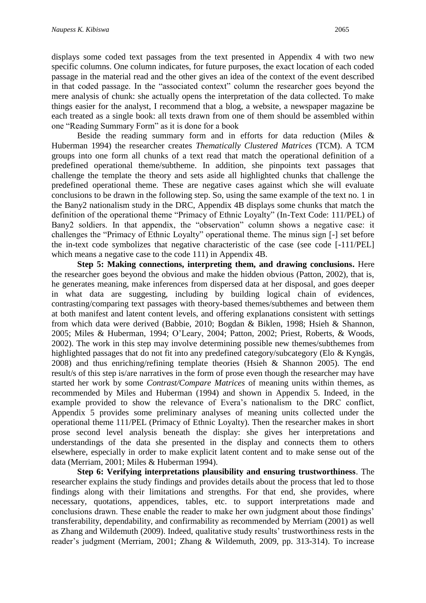displays some coded text passages from the text presented in Appendix 4 with two new specific columns. One column indicates, for future purposes, the exact location of each coded passage in the material read and the other gives an idea of the context of the event described in that coded passage. In the "associated context" column the researcher goes beyond the mere analysis of chunk: she actually opens the interpretation of the data collected. To make things easier for the analyst, I recommend that a blog, a website, a newspaper magazine be each treated as a single book: all texts drawn from one of them should be assembled within one "Reading Summary Form" as it is done for a book

Beside the reading summary form and in efforts for data reduction (Miles & Huberman 1994) the researcher creates *Thematically Clustered Matrices* (TCM). A TCM groups into one form all chunks of a text read that match the operational definition of a predefined operational theme/subtheme. In addition, she pinpoints text passages that challenge the template the theory and sets aside all highlighted chunks that challenge the predefined operational theme. These are negative cases against which she will evaluate conclusions to be drawn in the following step. So, using the same example of the text no. 1 in the Bany2 nationalism study in the DRC, Appendix 4B displays some chunks that match the definition of the operational theme "Primacy of Ethnic Loyalty" (In-Text Code: 111/PEL) of Bany2 soldiers. In that appendix, the "observation" column shows a negative case: it challenges the "Primacy of Ethnic Loyalty" operational theme. The minus sign [-] set before the in-text code symbolizes that negative characteristic of the case (see code [-111/PEL] which means a negative case to the code 111) in Appendix 4B.

**Step 5: Making connections, interpreting them, and drawing conclusions.** Here the researcher goes beyond the obvious and make the hidden obvious (Patton, 2002), that is, he generates meaning, make inferences from dispersed data at her disposal, and goes deeper in what data are suggesting, including by building logical chain of evidences, contrasting/comparing text passages with theory-based themes/subthemes and between them at both manifest and latent content levels, and offering explanations consistent with settings from which data were derived (Babbie, 2010; Bogdan & Biklen, 1998; Hsieh & Shannon, 2005; Miles & Huberman, 1994; O'Leary, 2004; Patton, 2002; Priest, Roberts, & Woods, 2002). The work in this step may involve determining possible new themes/subthemes from highlighted passages that do not fit into any predefined category/subcategory (Elo & Kyngäs, 2008) and thus enriching/refining template theories (Hsieh & Shannon 2005). The end result/s of this step is/are narratives in the form of prose even though the researcher may have started her work by some *Contrast/Compare Matrices* of meaning units within themes, as recommended by Miles and Huberman (1994) and shown in Appendix 5. Indeed, in the example provided to show the relevance of Evera's nationalism to the DRC conflict, Appendix 5 provides some preliminary analyses of meaning units collected under the operational theme 111/PEL (Primacy of Ethnic Loyalty). Then the researcher makes in short prose second level analysis beneath the display: she gives her interpretations and understandings of the data she presented in the display and connects them to others elsewhere, especially in order to make explicit latent content and to make sense out of the data (Merriam, 2001; Miles & Huberman 1994).

**Step 6: Verifying interpretations plausibility and ensuring trustworthiness**. The researcher explains the study findings and provides details about the process that led to those findings along with their limitations and strengths. For that end, she provides, where necessary, quotations, appendices, tables, etc. to support interpretations made and conclusions drawn. These enable the reader to make her own judgment about those findings' transferability, dependability, and confirmability as recommended by Merriam (2001) as well as Zhang and Wildemuth (2009). Indeed, qualitative study results' trustworthiness rests in the reader's judgment (Merriam, 2001; Zhang & Wildemuth, 2009, pp. 313-314). To increase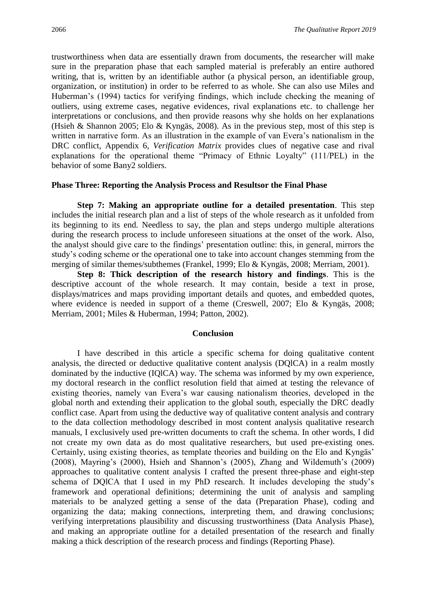trustworthiness when data are essentially drawn from documents, the researcher will make sure in the preparation phase that each sampled material is preferably an entire authored writing, that is, written by an identifiable author (a physical person, an identifiable group, organization, or institution) in order to be referred to as whole. She can also use Miles and Huberman's (1994) tactics for verifying findings, which include checking the meaning of outliers, using extreme cases, negative evidences, rival explanations etc. to challenge her interpretations or conclusions, and then provide reasons why she holds on her explanations (Hsieh & Shannon 2005; Elo & Kyngäs, 2008). As in the previous step, most of this step is written in narrative form. As an illustration in the example of van Evera's nationalism in the DRC conflict, Appendix 6, *Verification Matrix* provides clues of negative case and rival explanations for the operational theme "Primacy of Ethnic Loyalty" (111/PEL) in the behavior of some Bany2 soldiers.

## **Phase Three: Reporting the Analysis Process and Resultsor the Final Phase**

**Step 7: Making an appropriate outline for a detailed presentation**. This step includes the initial research plan and a list of steps of the whole research as it unfolded from its beginning to its end. Needless to say, the plan and steps undergo multiple alterations during the research process to include unforeseen situations at the onset of the work. Also, the analyst should give care to the findings' presentation outline: this, in general, mirrors the study's coding scheme or the operational one to take into account changes stemming from the merging of similar themes/subthemes (Frankel, 1999; Elo & Kyngäs, 2008; Merriam, 2001).

**Step 8: Thick description of the research history and findings**. This is the descriptive account of the whole research. It may contain, beside a text in prose, displays/matrices and maps providing important details and quotes, and embedded quotes, where evidence is needed in support of a theme (Creswell, 2007; Elo & Kyngäs, 2008; Merriam, 2001; Miles & Huberman, 1994; Patton, 2002).

#### **Conclusion**

I have described in this article a specific schema for doing qualitative content analysis, the directed or deductive qualitative content analysis (DQlCA) in a realm mostly dominated by the inductive (IQlCA) way. The schema was informed by my own experience, my doctoral research in the conflict resolution field that aimed at testing the relevance of existing theories, namely van Evera's war causing nationalism theories, developed in the global north and extending their application to the global south, especially the DRC deadly conflict case. Apart from using the deductive way of qualitative content analysis and contrary to the data collection methodology described in most content analysis qualitative research manuals, I exclusively used pre-written documents to craft the schema. In other words, I did not create my own data as do most qualitative researchers, but used pre-existing ones. Certainly, using existing theories, as template theories and building on the Elo and Kyngäs' (2008), Mayring's (2000), Hsieh and Shannon's (2005), Zhang and Wildemuth's (2009) approaches to qualitative content analysis I crafted the present three-phase and eight-step schema of DQlCA that I used in my PhD research. It includes developing the study's framework and operational definitions; determining the unit of analysis and sampling materials to be analyzed getting a sense of the data (Preparation Phase), coding and organizing the data; making connections, interpreting them, and drawing conclusions; verifying interpretations plausibility and discussing trustworthiness (Data Analysis Phase), and making an appropriate outline for a detailed presentation of the research and finally making a thick description of the research process and findings (Reporting Phase).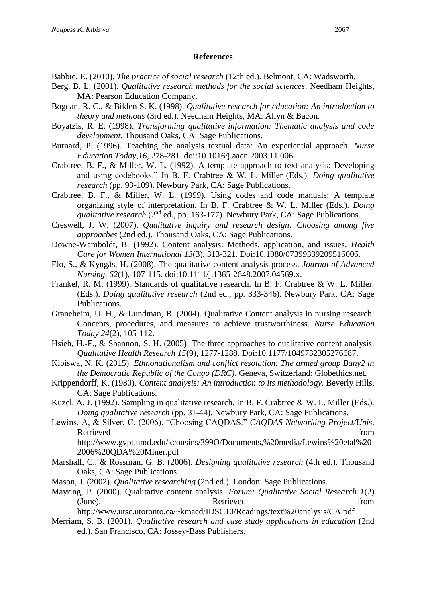## **References**

- Babbie, E. (2010). *The practice of social research* (12th ed.). Belmont, CA: Wadsworth.
- Berg, B. L. (2001). *Qualitative research methods for the social sciences*. Needham Heights, MA: Pearson Education Company.
- Bogdan, R. C., & Biklen S. K. (1998). *Qualitative research for education: An introduction to theory and methods* (3rd ed.). Needham Heights, MA: Allyn & Bacon.
- Boyatzis, R. E. (1998). *Transforming qualitative information: Thematic analysis and code development.* Thousand Oaks, CA: Sage Publications.
- Burnard, P. (1996). Teaching the analysis textual data: An experiential approach. *Nurse Education Today,16*, 278-281. doi:10.1016/j.aaen.2003.11.006
- Crabtree, B. F., & Miller, W. L. (1992). A template approach to text analysis: Developing and using codebooks." In B. F. Crabtree & W. L. Miller (Eds.). *Doing qualitative research* (pp. 93-109). Newbury Park, CA: Sage Publications.
- Crabtree, B. F., & Miller, W. L. (1999). Using codes and code manuals: A template organizing style of interpretation. In B. F. Crabtree & W. L. Miller (Eds.). *Doing*  qualitative research (2<sup>nd</sup> ed., pp. 163-177). Newbury Park, CA: Sage Publications.
- Creswell, J. W. (2007). *Qualitative inquiry and research design: Choosing among five approaches* (2nd ed.). Thousand Oaks, CA: Sage Publications.
- Downe-Wamboldt, B. (1992). Content analysis: Methods, application, and issues. *Health Care for Women International 13*(3), 313-321. Doi:10.1080/07399339209516006.
- Elo, S., & Kyngäs, H. (2008). The qualitative content analysis process. *Journal of Advanced Nursing, 62*(1), 107-115. doi:10.1111/j.1365-2648.2007.04569.x.
- Frankel, R. M. (1999). Standards of qualitative research. In B. F. Crabtree & W. L. Miller. (Eds.). *Doing qualitative research* (2nd ed., pp. 333-346). Newbury Park, CA: Sage Publications.
- Graneheim, U. H., & Lundman, B. (2004). Qualitative Content analysis in nursing research: Concepts, procedures, and measures to achieve trustworthiness. *Nurse Education Today 24*(2), 105-112.
- Hsieh, H.-F., & Shannon, S. H. (2005). The three approaches to qualitative content analysis. *Qualitative Health Research 15*(9), 1277-1288. Doi:10.1177/1049732305276687.
- Kibiswa, N. K. (2015). *Ethnonationalism and conflict resolution: The armed group Bany2 in the Democratic Republic of the Congo (DRC).* Geneva, Switzerland: Globethics.net.
- Krippendorff, K. (1980). *Content analysis: An introduction to its methodology.* Beverly Hills, CA: Sage Publications.
- Kuzel, A. J. (1992). Sampling in qualitative research. In B. F. Crabtree & W. L. Miller (Eds.). *Doing qualitative research* (pp. 31-44). Newbury Park, CA: Sage Publications.
- Lewins, A, & Silver, C. (2006). "Choosing CAQDAS." *CAQDAS Networking Project/Unis*. Retrieved from the state of the state of the state of the state of the state of the state of the state of the state of the state of the state of the state of the state of the state of the state of the state of the state of http://www.gvpt.umd.edu/kcousins/399O/Documents,%20media/Lewins%20etal%20 2006%20QDA%20Miner.pdf
- Marshall, C., & Rossman, G. B. (2006). *Designing qualitative research* (4th ed.). Thousand Oaks, CA: Sage Publications.
- Mason, J. (2002). *Qualitative researching* (2nd ed.). London: Sage Publications.
- Mayring, P. (2000). Qualitative content analysis. *Forum: Qualitative Social Research 1*(2) (June). Retrieved from  $\alpha$

http://www.utsc.utoronto.ca/~kmacd/IDSC10/Readings/text%20analysis/CA.pdf

Merriam, S. B. (2001). *Qualitative research and case study applications in education* (2nd ed.). San Francisco, CA: Jossey-Bass Publishers.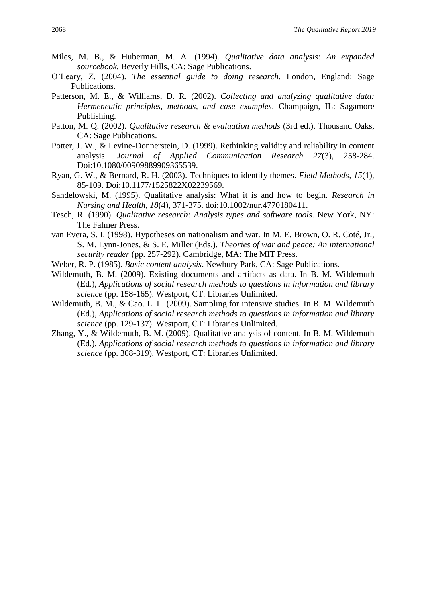- Miles, M. B., & Huberman, M. A. (1994). *Qualitative data analysis: An expanded sourcebook.* Beverly Hills, CA: Sage Publications.
- O'Leary, Z. (2004). *The essential guide to doing research.* London, England: Sage Publications.
- Patterson, M. E., & Williams, D. R. (2002). *Collecting and analyzing qualitative data: Hermeneutic principles, methods, and case examples*. Champaign, IL: Sagamore Publishing.
- Patton, M. Q. (2002). *Qualitative research & evaluation methods* (3rd ed.). Thousand Oaks, CA: Sage Publications.
- Potter, J. W., & Levine-Donnerstein, D. (1999). Rethinking validity and reliability in content analysis. *Journal of Applied Communication Research 27*(3), 258-284. Doi:10.1080/00909889909365539.
- Ryan, G. W., & Bernard, R. H. (2003). Techniques to identify themes. *Field Methods, 15*(1), 85-109. Doi:10.1177/1525822X02239569.
- Sandelowski, M. (1995). Qualitative analysis: What it is and how to begin. *Research in Nursing and Health, 18*(4), 371-375. doi:10.1002/nur.4770180411.
- Tesch, R. (1990). *Qualitative research: Analysis types and software tools*. New York, NY: The Falmer Press.
- van Evera, S. I. (1998). Hypotheses on nationalism and war. In M. E. Brown, O. R. Coté, Jr., S. M. Lynn-Jones, & S. E. Miller (Eds.). *Theories of war and peace: An international security reader* (pp. 257-292). Cambridge, MA: The MIT Press.
- Weber, R. P. (1985). *Basic content analysis*. Newbury Park, CA: Sage Publications.
- Wildemuth, B. M. (2009). Existing documents and artifacts as data. In B. M. Wildemuth (Ed.), *Applications of social research methods to questions in information and library science* (pp. 158-165). Westport, CT: Libraries Unlimited.
- Wildemuth, B. M., & Cao. L. L. (2009). Sampling for intensive studies. In B. M. Wildemuth (Ed.), *Applications of social research methods to questions in information and library science* (pp. 129-137). Westport, CT: Libraries Unlimited.
- Zhang, Y., & Wildemuth, B. M. (2009). Qualitative analysis of content. In B. M. Wildemuth (Ed.), *Applications of social research methods to questions in information and library science* (pp. 308-319). Westport, CT: Libraries Unlimited.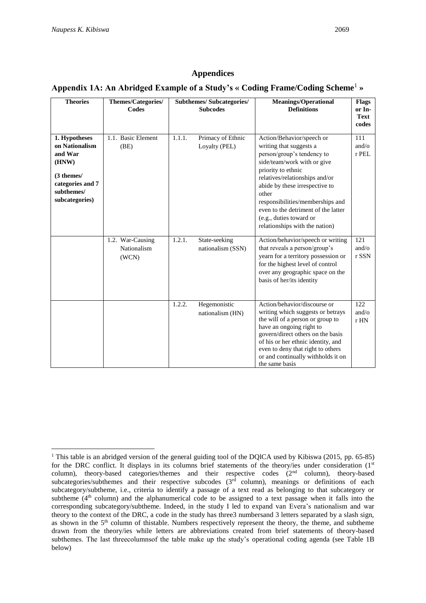## **Appendices**

## **Appendix 1A: An Abridged Example of a Study's « Coding Frame/Coding Scheme**<sup>1</sup> **»**

| <b>Theories</b>                                                                                                       | Themes/Categories/<br>Codes              |        | <b>Subthemes/ Subcategories/</b><br><b>Subcodes</b> | <b>Meanings/Operational</b><br><b>Definitions</b>                                                                                                                                                                                                                                                                                                            | <b>Flags</b><br>or In-<br><b>Text</b><br>codes |
|-----------------------------------------------------------------------------------------------------------------------|------------------------------------------|--------|-----------------------------------------------------|--------------------------------------------------------------------------------------------------------------------------------------------------------------------------------------------------------------------------------------------------------------------------------------------------------------------------------------------------------------|------------------------------------------------|
| 1. Hypotheses<br>on Nationalism<br>and War<br>(HNW)<br>(3 themes/<br>categories and 7<br>subthemes/<br>subcategories) | 1.1. Basic Element<br>(BE)               | 1.1.1. | Primacy of Ethnic<br>Loyalty (PEL)                  | Action/Behavior/speech or<br>writing that suggests a<br>person/group's tendency to<br>side/team/work with or give<br>priority to ethnic<br>relatives/relationships and/or<br>abide by these irrespective to<br>other<br>responsibilities/memberships and<br>even to the detriment of the latter<br>(e.g., duties toward or<br>relationships with the nation) | 111<br>and/ $\alpha$<br>r PEL                  |
|                                                                                                                       | 1.2. War-Causing<br>Nationalism<br>(WCN) | 1.2.1. | State-seeking<br>nationalism (SSN)                  | Action/behavior/speech or writing<br>that reveals a person/group's<br>yearn for a territory possession or<br>for the highest level of control<br>over any geographic space on the<br>basis of her/its identity                                                                                                                                               | 121<br>and/ $\sigma$<br>r SSN                  |
|                                                                                                                       |                                          | 1.2.2. | Hegemonistic<br>nationalism (HN)                    | Action/behavior/discourse or<br>writing which suggests or betrays<br>the will of a person or group to<br>have an ongoing right to<br>govern/direct others on the basis<br>of his or her ethnic identity, and<br>even to deny that right to others<br>or and continually withholds it on<br>the same basis                                                    | 122<br>and/ $\sigma$<br>r HN                   |

<sup>&</sup>lt;sup>1</sup> This table is an abridged version of the general guiding tool of the DQICA used by Kibiswa (2015, pp. 65-85) for the DRC conflict. It displays in its columns brief statements of the theory/ies under consideration  $(1<sup>st</sup>$ column), theory-based categories/themes and their respective codes (2<sup>nd</sup> column), theory-based subcategories/subthemes and their respective subcodes (3<sup>rd</sup> column), meanings or definitions of each subcategory/subtheme, i.e., criteria to identify a passage of a text read as belonging to that subcategory or subtheme (4<sup>th</sup> column) and the alphanumerical code to be assigned to a text passage when it falls into the corresponding subcategory/subtheme. Indeed, in the study I led to expand van Evera's nationalism and war theory to the context of the DRC, a code in the study has three3 numbersand 3 letters separated by a slash sign, as shown in the 5<sup>th</sup> column of thistable. Numbers respectively represent the theory, the theme, and subtheme drawn from the theory/ies while letters are abbreviations created from brief statements of theory-based subthemes. The last threecolumnsof the table make up the study's operational coding agenda (see Table 1B below)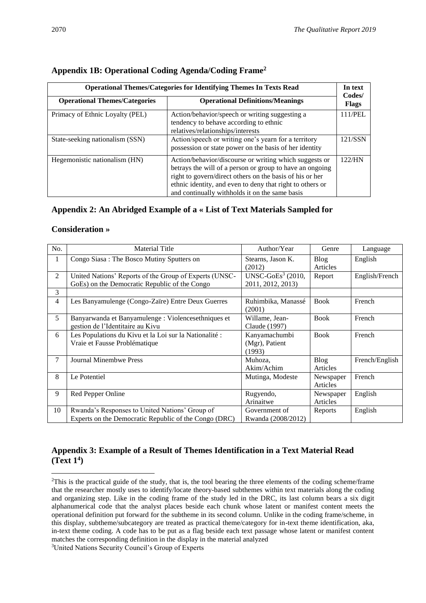| <b>Operational Themes/Categories for Identifying Themes In Texts Read</b>       |                                                                                                                                                                                                                                                                                               |         |
|---------------------------------------------------------------------------------|-----------------------------------------------------------------------------------------------------------------------------------------------------------------------------------------------------------------------------------------------------------------------------------------------|---------|
| <b>Operational Definitions/Meanings</b><br><b>Operational Themes/Categories</b> |                                                                                                                                                                                                                                                                                               |         |
| Primacy of Ethnic Loyalty (PEL)                                                 | Action/behavior/speech or writing suggesting a<br>tendency to behave according to ethnic<br>relatives/relationships/interests                                                                                                                                                                 | 111/PEL |
| State-seeking nationalism (SSN)                                                 | Action/speech or writing one's yearn for a territory<br>possession or state power on the basis of her identity                                                                                                                                                                                | 121/SSN |
| Hegemonistic nationalism (HN)                                                   | Action/behavior/discourse or writing which suggests or<br>betrays the will of a person or group to have an ongoing<br>right to govern/direct others on the basis of his or her<br>ethnic identity, and even to deny that right to others or<br>and continually withholds it on the same basis | 122/HN  |

## **Appendix 1B: Operational Coding Agenda/Coding Frame<sup>2</sup>**

## **Appendix 2: An Abridged Example of a « List of Text Materials Sampled for**

#### **Consideration »**

| No. | <b>Material Title</b>                                                                                   | Author/Year                                          | Genre                   | Language       |
|-----|---------------------------------------------------------------------------------------------------------|------------------------------------------------------|-------------------------|----------------|
| 1   | Congo Siasa: The Bosco Mutiny Sputters on                                                               | Stearns, Jason K.<br>(2012)                          | Blog<br>Articles        | English        |
| 2   | United Nations' Reports of the Group of Experts (UNSC-<br>GoEs) on the Democratic Republic of the Congo | UNSC-GoEs <sup>3</sup> $(2010,$<br>2011, 2012, 2013) | Report                  | English/French |
| 3   |                                                                                                         |                                                      |                         |                |
| 4   | Les Banyamulenge (Congo-Zaïre) Entre Deux Guerres                                                       | Ruhimbika, Manassé<br>(2001)                         | <b>Book</b>             | French         |
| 5   | Banyarwanda et Banyamulenge : Violencesethniques et<br>gestion de l'Identitaire au Kivu                 | Willame, Jean-<br>Claude (1997)                      | <b>Book</b>             | French         |
| 6   | Les Populations du Kivu et la Loi sur la Nationalité :<br>Vraie et Fausse Problématique                 | Kanyamachumbi<br>(Mgr), Patient<br>(1993)            | <b>Book</b>             | French         |
| 7   | <b>Journal Minembwe Press</b>                                                                           | Muhoza.<br>Akim/Achim                                | <b>Blog</b><br>Articles | French/English |
| 8   | Le Potentiel                                                                                            | Mutinga, Modeste                                     | Newspaper<br>Articles   | French         |
| 9   | Red Pepper Online                                                                                       | Rugyendo,<br>Arinaitwe                               | Newspaper<br>Articles   | English        |
| 10  | Rwanda's Responses to United Nations' Group of<br>Experts on the Democratic Republic of the Congo (DRC) | Government of<br>Rwanda (2008/2012)                  | Reports                 | English        |

## **Appendix 3: Example of a Result of Themes Identification in a Text Material Read (Text 1<sup>4</sup> )**

<sup>&</sup>lt;sup>2</sup>This is the practical guide of the study, that is, the tool bearing the three elements of the coding scheme/frame that the researcher mostly uses to identify/locate theory-based subthemes within text materials along the coding and organizing step. Like in the coding frame of the study led in the DRC, its last column bears a six digit alphanumerical code that the analyst places beside each chunk whose latent or manifest content meets the operational definition put forward for the subtheme in its second column. Unlike in the coding frame/scheme, in this display, subtheme/subcategory are treated as practical theme/category for in-text theme identification, aka, in-text theme coding. A code has to be put as a flag beside each text passage whose latent or manifest content matches the corresponding definition in the display in the material analyzed

<sup>&</sup>lt;sup>3</sup>United Nations Security Council's Group of Experts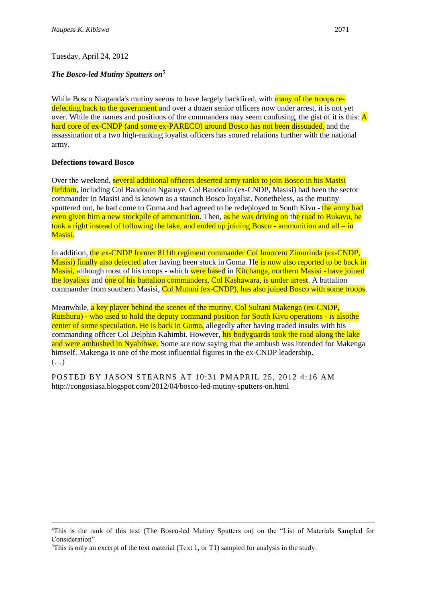## *The Bosco-led Mutiny Sputters on<sup>5</sup>*

While Bosco Ntaganda's mutiny seems to have largely backfired, with **many of the troops re**defecting back to the government and over a dozen senior officers now under arrest, it is not yet over. While the names and positions of the commanders may seem confusing, the gist of it is this:  $\overline{A}$ hard core of ex-CNDP (and some ex-PARECO) around Bosco has not been dissuaded, and the assassination of a two high-ranking loyalist officers has soured relations further with the national army.

## **Defections toward Bosco**

Over the weekend, several additional officers deserted army ranks to join Bosco in his Masisi fiefdom, including Col Baudouin Ngaruye. Col Baudouin (ex-CNDP, Masisi) had been the sector commander in Masisi and is known as a staunch Bosco loyalist. Nonetheless, as the mutiny sputtered out, he had come to Goma and had agreed to be redeployed to South Kivu - the army had even given him a new stockpile of ammunition. Then, as he was driving on the road to Bukavu, he took a right instead of following the lake, and ended up joining Bosco - ammunition and all – in Masisi.

In addition, the ex-CNDP former 811th regiment commander Col Innocent Zimurinda (ex-CNDP, Masisi) finally also defected after having been stuck in Goma. He is now also reported to be back in Masisi, although most of his troops - which were based in Kitchanga, northern Masisi - have joined the loyalists and one of his battalion commanders, Col Kashawara, is under arrest. A battalion commander from southern Masisi, Col Mutoni (ex-CNDP), has also joined Bosco with some troops.

Meanwhile, a key player behind the scenes of the mutiny, Col Sultani Makenga (ex-CNDP, Rutshuru) - who used to hold the deputy command position for South Kivu operations - is alsothe center of some speculation. He is back in Goma, allegedly after having traded insults with his commanding officer Col Delphin Kahimbi. However, his bodyguards took the road along the lake and were ambushed in Nyabibwe. Some are now saying that the ambush was intended for Makenga himself. Makenga is one of the most influential figures in the ex-CNDP leadership.  $(\ldots)$ 

POSTED BY JASON STEARNS AT [10:31 PM](http://congosiasa.blogspot.com/2012/04/bosco-led-mutiny-sputters-on.html)[APRIL 25, 2012 4:16 AM](http://congosiasa.blogspot.com/2012/04/bosco-led-mutiny-sputters-on.html?showComment=1335352569279#c2164340729053372700)  http://congosiasa.blogspot.com/2012/04/bosco-led-mutiny-sputters-on.html

<sup>4</sup>This is the rank of this text (The Bosco-led Mutiny Sputters on) on the "List of Materials Sampled for Consideration"

<sup>&</sup>lt;sup>5</sup>This is only an excerpt of the text material (Text 1, or T1) sampled for analysis in the study.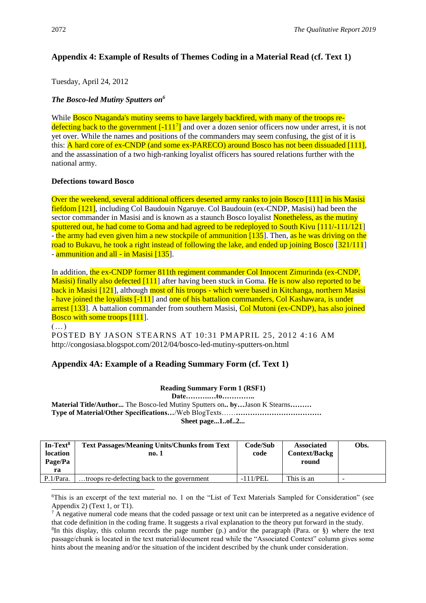# **Appendix 4: Example of Results of Themes Coding in a Material Read (cf. Text 1)**

Tuesday, April 24, 2012

# *The Bosco-led Mutiny Sputters on<sup>6</sup>*

While **Bosco Ntaganda's mutiny seems to have largely backfired, with many of the troops re**defecting back to the government  $\left[-111^7\right]$  and over a dozen senior officers now under arrest, it is not yet over. While the names and positions of the commanders may seem confusing, the gist of it is this: A hard core of ex-CNDP (and some ex-PARECO) around Bosco has not been dissuaded [111], and the assassination of a two high-ranking loyalist officers has soured relations further with the national army.

## **Defections toward Bosco**

Over the weekend, several additional officers deserted army ranks to join Bosco [111] in his Masisi fiefdom [121], including Col Baudouin Ngaruye. Col Baudouin (ex-CNDP, Masisi) had been the sector commander in Masisi and is known as a staunch Bosco loyalist Nonetheless, as the mutiny sputtered out, he had come to Goma and had agreed to be redeployed to South Kivu [111/-111/121] - the army had even given him a new stockpile of ammunition [135]. Then, as he was driving on the road to Bukavu, he took a right instead of following the lake, and ended up joining Bosco [321/111] - ammunition and all - in Masisi [135].

In addition, the ex-CNDP former 811th regiment commander Col Innocent Zimurinda (ex-CNDP, Masisi) finally also defected [111] after having been stuck in Goma. He is now also reported to be back in Masisi [121], although most of his troops - which were based in Kitchanga, northern Masisi - have joined the loyalists [-111] and one of his battalion commanders, Col Kashawara, is under arrest [133]. A battalion commander from southern Masisi, Col Mutoni (ex-CNDP), has also joined Bosco with some troops [111].

(…)

POSTED BY JASON STEARNS AT [10:31 PM](http://congosiasa.blogspot.com/2012/04/bosco-led-mutiny-sputters-on.html)[APRIL 25, 2012 4:16 AM](http://congosiasa.blogspot.com/2012/04/bosco-led-mutiny-sputters-on.html?showComment=1335352569279#c2164340729053372700)  http://congosiasa.blogspot.com/2012/04/bosco-led-mutiny-sputters-on.html

# **Appendix 4A: Example of a Reading Summary Form (cf. Text 1)**

## **Reading Summary Form 1 (RSF1)**

**Date……….…to…………..**

**Material Title/Author...** The Bosco-led Mutiny Sputters on**.. by…**Jason K Stearns**……… Type of Material/Other Specifications…**/Web BlogTexts……**……………………………… Sheet page...1..of..2...**

| In-Text <sup>8</sup><br><b>location</b><br>Page/Pa<br>ra | <b>Text Passages/Meaning Units/Chunks from Text</b><br>no. 1 | Code/Sub<br>code | <b>Associated</b><br><b>Context/Backg</b><br>round | Obs. |
|----------------------------------------------------------|--------------------------------------------------------------|------------------|----------------------------------------------------|------|
| P.1/Para.                                                | troops re-defecting back to the government                   | $-111/PEL$       | This is an                                         |      |

<sup>6</sup>This is an excerpt of the text material no. 1 on the "List of Text Materials Sampled for Consideration" (see Appendix 2) (Text 1, or T1).

 $7 \text{ Å}$  negative numeral code means that the coded passage or text unit can be interpreted as a negative evidence of that code definition in the coding frame. It suggests a rival explanation to the theory put forward in the study.

8 In this display, this column records the page number (p.) and/or the paragraph (Para. or §) where the text passage/chunk is located in the text material/document read while the "Associated Context" column gives some hints about the meaning and/or the situation of the incident described by the chunk under consideration.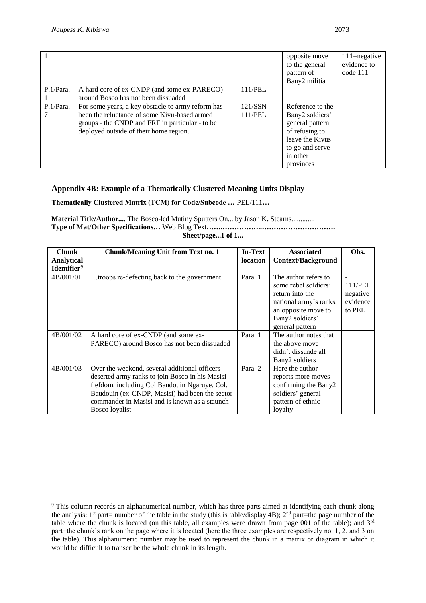|           |                                                   |         | opposite move<br>to the general<br>pattern of<br>Bany2 militia | $111$ =negative<br>evidence to<br>code 111 |
|-----------|---------------------------------------------------|---------|----------------------------------------------------------------|--------------------------------------------|
| P.1/Para. | A hard core of ex-CNDP (and some ex-PARECO)       | 111/PEL |                                                                |                                            |
|           | around Bosco has not been dissuaded               |         |                                                                |                                            |
| P.1/Para. | For some years, a key obstacle to army reform has | 121/SSN | Reference to the                                               |                                            |
|           | been the reluctance of some Kivu-based armed      | 111/PEL | Bany2 soldiers'                                                |                                            |
|           | groups - the CNDP and FRF in particular - to be   |         | general pattern                                                |                                            |
|           | deployed outside of their home region.            |         | of refusing to                                                 |                                            |
|           |                                                   |         | leave the Kivus                                                |                                            |
|           |                                                   |         | to go and serve                                                |                                            |
|           |                                                   |         | in other                                                       |                                            |
|           |                                                   |         | provinces                                                      |                                            |

## **Appendix 4B: Example of a Thematically Clustered Meaning Units Display**

**Thematically Clustered Matrix (TCM) for Code/Subcode …** PEL/111**…**

**Material Title/Author....** The Bosco-led Mutiny Sputters On... by Jason K**.** Stearns............. **Type of Mat/Other Specifications…** Web Blog Text**…….……………..………………………….**

**Sheet/page...1 of 1...**

| <b>Chunk</b>            |                                                                                                                                                                                                                                                                        | <b>In-Text</b> | <b>Associated</b>                                                                                                                                      | Obs.                                      |
|-------------------------|------------------------------------------------------------------------------------------------------------------------------------------------------------------------------------------------------------------------------------------------------------------------|----------------|--------------------------------------------------------------------------------------------------------------------------------------------------------|-------------------------------------------|
|                         | <b>Chunk/Meaning Unit from Text no. 1</b>                                                                                                                                                                                                                              |                |                                                                                                                                                        |                                           |
| <b>Analytical</b>       |                                                                                                                                                                                                                                                                        | location       | <b>Context/Background</b>                                                                                                                              |                                           |
| Identifier <sup>9</sup> |                                                                                                                                                                                                                                                                        |                |                                                                                                                                                        |                                           |
| 4B/001/01               | troops re-defecting back to the government                                                                                                                                                                                                                             | Para. 1        | The author refers to<br>some rebel soldiers'<br>return into the<br>national army's ranks,<br>an opposite move to<br>Bany2 soldiers'<br>general pattern | 111/PEL<br>negative<br>evidence<br>to PEL |
| 4B/001/02               | A hard core of ex-CNDP (and some ex-<br>PARECO) around Bosco has not been dissuaded                                                                                                                                                                                    | Para, 1        | The author notes that<br>the above move<br>didn't dissuade all<br>Bany2 soldiers                                                                       |                                           |
| 4B/001/03               | Over the weekend, several additional officers<br>deserted army ranks to join Bosco in his Masisi<br>fiefdom, including Col Baudouin Ngaruye. Col.<br>Baudouin (ex-CNDP, Masisi) had been the sector<br>commander in Masisi and is known as a staunch<br>Bosco loyalist | Para. 2        | Here the author<br>reports more moves<br>confirming the Bany2<br>soldiers' general<br>pattern of ethnic<br>loyalty                                     |                                           |

<sup>9</sup> This column records an alphanumerical number, which has three parts aimed at identifying each chunk along the analysis: 1<sup>st</sup> part= number of the table in the study (this is table/display 4B); 2<sup>nd</sup> part=the page number of the table where the chunk is located (on this table, all examples were drawn from page 001 of the table); and  $3<sup>rd</sup>$ part=the chunk's rank on the page where it is located (here the three examples are respectively no. 1, 2, and 3 on the table). This alphanumeric number may be used to represent the chunk in a matrix or diagram in which it would be difficult to transcribe the whole chunk in its length.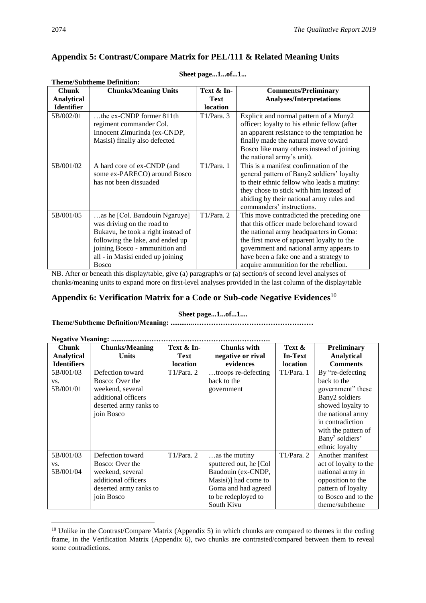# **Appendix 5: Contrast/Compare Matrix for PEL/111 & Related Meaning Units**

|                   | <b>Theme/Subtheme Definition:</b>                                                                                  |                |                                              |
|-------------------|--------------------------------------------------------------------------------------------------------------------|----------------|----------------------------------------------|
| <b>Chunk</b>      | <b>Chunks/Meaning Units</b>                                                                                        | Text & In-     | <b>Comments/Preliminary</b>                  |
| <b>Analytical</b> |                                                                                                                    | <b>Text</b>    | <b>Analyses/Interpretations</b>              |
| <b>Identifier</b> |                                                                                                                    | location       |                                              |
| 5B/002/01         | the ex-CNDP former 811th                                                                                           | T1/Para. 3     | Explicit and normal pattern of a Muny2       |
|                   | regiment commander Col.                                                                                            |                | officer: loyalty to his ethnic fellow (after |
|                   | Innocent Zimurinda (ex-CNDP,                                                                                       |                | an apparent resistance to the temptation he  |
|                   | Masisi) finally also defected                                                                                      |                | finally made the natural move toward         |
|                   |                                                                                                                    |                | Bosco like many others instead of joining    |
|                   |                                                                                                                    |                | the national army's unit).                   |
| 5B/001/02         | A hard core of ex-CNDP (and                                                                                        | T1/Para. 1     | This is a manifest confirmation of the       |
|                   | some ex-PARECO) around Bosco                                                                                       |                | general pattern of Bany2 soldiers' loyalty   |
|                   | has not been dissuaded                                                                                             |                | to their ethnic fellow who leads a mutiny:   |
|                   |                                                                                                                    |                | they chose to stick with him instead of      |
|                   |                                                                                                                    |                | abiding by their national army rules and     |
|                   |                                                                                                                    |                | commanders' instructions.                    |
| 5B/001/05         | as he [Col. Baudouin Ngaruye]                                                                                      | T1/Para. 2     | This move contradicted the preceding one     |
|                   | was driving on the road to                                                                                         |                | that this officer made beforehand toward     |
|                   | Bukavu, he took a right instead of                                                                                 |                | the national army headquarters in Goma:      |
|                   | following the lake, and ended up                                                                                   |                | the first move of apparent loyalty to the    |
|                   | joining Bosco - ammunition and                                                                                     |                | government and national army appears to      |
|                   | all - in Masisi ended up joining                                                                                   |                | have been a fake one and a strategy to       |
| $\mathbf{r}$      | <b>Bosco</b><br>$\mathbf{a}$ , and $\mathbf{a}$ , and $\mathbf{a}$ , and $\mathbf{a}$ , and $\mathbf{a}$<br>$\sim$ | $\blacksquare$ | acquire ammunition for the rebellion.        |

#### **Sheet page...1...of...1...**

NB. After or beneath this display/table, give (a) paragraph/s or (a) section/s of second level analyses of chunks/meaning units to expand more on first-level analyses provided in the last column of the display/table

# **Appendix 6: Verification Matrix for a Code or Sub-code Negative Evidences**<sup>10</sup>

#### **Sheet page...1...of...1....**

## **Theme/Subtheme Definition/Meaning: ............……………………………………………**

| <b>Negative Meaning: </b> |                        |                 |                         |                 |                             |
|---------------------------|------------------------|-----------------|-------------------------|-----------------|-----------------------------|
| <b>Chunk</b>              | <b>Chunks/Meaning</b>  | Text & In-      | <b>Chunks with</b>      | Text &          | Preliminary                 |
| <b>Analytical</b>         | <b>Units</b>           | <b>Text</b>     | negative or rival       | <b>In-Text</b>  | <b>Analytical</b>           |
| <b>Identifiers</b>        |                        | <b>location</b> | evidences               | <b>location</b> | <b>Comments</b>             |
| 5B/001/03                 | Defection toward       | T1/Para. 2      | troops re-defecting     | T1/Para. 1      | By "re-defecting"           |
| VS.                       | Bosco: Over the        |                 | back to the             |                 | back to the                 |
| 5B/001/01                 | weekend, several       |                 | government              |                 | government" these           |
|                           | additional officers    |                 |                         |                 | Bany2 soldiers              |
|                           | deserted army ranks to |                 |                         |                 | showed loyalty to           |
|                           | join Bosco             |                 |                         |                 | the national army           |
|                           |                        |                 |                         |                 | in contradiction            |
|                           |                        |                 |                         |                 | with the pattern of         |
|                           |                        |                 |                         |                 | Bany <sup>2</sup> soldiers' |
|                           |                        |                 |                         |                 | ethnic loyalty              |
| 5B/001/03                 | Defection toward       | T1/Para. 2      | as the mutiny           | T1/Para. 2      | Another manifest            |
| VS.                       | Bosco: Over the        |                 | sputtered out, he [Col] |                 | act of loyalty to the       |
| 5B/001/04                 | weekend, several       |                 | Baudouin (ex-CNDP,      |                 | national army in            |
|                           | additional officers    |                 | Masisi)] had come to    |                 | opposition to the           |
|                           | deserted army ranks to |                 | Goma and had agreed     |                 | pattern of loyalty          |
|                           | join Bosco             |                 | to be redeployed to     |                 | to Bosco and to the         |
|                           |                        |                 | South Kivu              |                 | theme/subtheme              |

<sup>&</sup>lt;sup>10</sup> Unlike in the Contrast/Compare Matrix (Appendix 5) in which chunks are compared to themes in the coding frame, in the Verification Matrix (Appendix 6), two chunks are contrasted/compared between them to reveal some contradictions.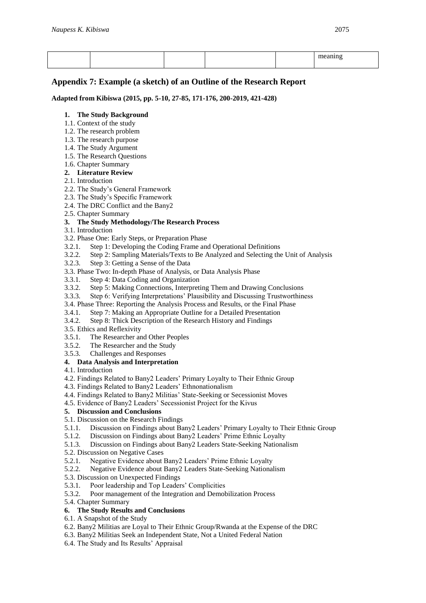## **Appendix 7: Example (a sketch) of an Outline of the Research Report**

**Adapted from Kibiswa (2015, pp. 5-10, 27-85, 171-176, 200-2019, 421-428)**

#### **1. The Study Background**

- 1.1. Context of the study
- 1.2. The research problem
- 1.3. The research purpose
- 1.4. The Study Argument
- 1.5. The Research Questions
- 1.6. Chapter Summary
- **2. Literature Review**
- 2.1. Introduction
- 2.2. The Study's General Framework
- 2.3. The Study's Specific Framework
- 2.4. The DRC Conflict and the Bany2
- 2.5. Chapter Summary

#### **3. The Study Methodology/The Research Process**

- 3.1. Introduction
- 3.2. Phase One: Early Steps, or Preparation Phase
- 3.2.1. Step 1: Developing the Coding Frame and Operational Definitions
- 3.2.2. Step 2: Sampling Materials/Texts to Be Analyzed and Selecting the Unit of Analysis
- 3.2.3. Step 3: Getting a Sense of the Data
- 3.3. Phase Two: In-depth Phase of Analysis, or Data Analysis Phase
- 3.3.1. Step 4: Data Coding and Organization
- 3.3.2. Step 5: Making Connections, Interpreting Them and Drawing Conclusions
- 3.3.3. Step 6: Verifying Interpretations' Plausibility and Discussing Trustworthiness
- 3.4. Phase Three: Reporting the Analysis Process and Results, or the Final Phase
- 3.4.1. Step 7: Making an Appropriate Outline for a Detailed Presentation
- 3.4.2. Step 8: Thick Description of the Research History and Findings
- 3.5. Ethics and Reflexivity
- 3.5.1. The Researcher and Other Peoples
- 3.5.2. The Researcher and the Study
- 3.5.3. Challenges and Responses

#### **4. Data Analysis and Interpretation**

- 4.1. Introduction
- 4.2. Findings Related to Bany2 Leaders' Primary Loyalty to Their Ethnic Group
- 4.3. Findings Related to Bany2 Leaders' Ethnonationalism
- 4.4. Findings Related to Bany2 Militias' State-Seeking or Secessionist Moves
- 4.5. Evidence of Bany2 Leaders' Secessionist Project for the Kivus

## **5. Discussion and Conclusions**

- 5.1. Discussion on the Research Findings
- 5.1.1. Discussion on Findings about Bany2 Leaders' Primary Loyalty to Their Ethnic Group
- 5.1.2. Discussion on Findings about Bany2 Leaders' Prime Ethnic Loyalty
- 5.1.3. Discussion on Findings about Bany2 Leaders State-Seeking Nationalism
- 5.2. Discussion on Negative Cases
- 5.2.1. Negative Evidence about Bany2 Leaders' Prime Ethnic Loyalty
- 5.2.2. Negative Evidence about Bany2 Leaders State-Seeking Nationalism
- 5.3. Discussion on Unexpected Findings
- 5.3.1. Poor leadership and Top Leaders' Complicities
- 5.3.2. Poor management of the Integration and Demobilization Process
- 5.4. Chapter Summary

#### **6. The Study Results and Conclusions**

- 6.1. A Snapshot of the Study
- 6.2. Bany2 Militias are Loyal to Their Ethnic Group/Rwanda at the Expense of the DRC
- 6.3. Bany2 Militias Seek an Independent State, Not a United Federal Nation
- 6.4. The Study and Its Results' Appraisal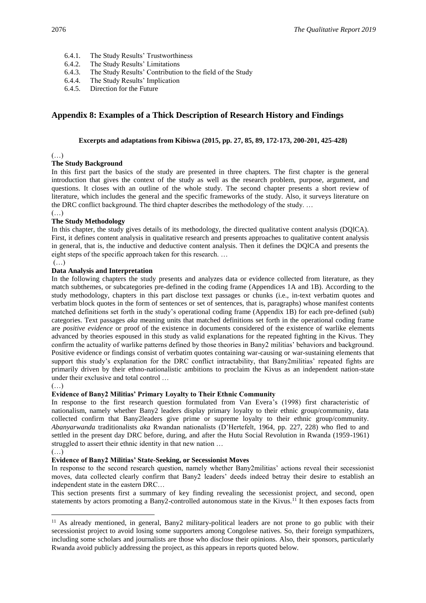- 6.4.1. The Study Results' Trustworthiness
- 6.4.2. The Study Results' Limitations
- 6.4.3. The Study Results' Contribution to the field of the Study
- 6.4.4. The Study Results' Implication
- 6.4.5. Direction for the Future

## **Appendix 8: Examples of a Thick Description of Research History and Findings**

#### **Excerpts and adaptations from Kibiswa (2015, pp. 27, 85, 89, 172-173, 200-201, 425-428)**

#### $(\ldots)$

#### **The Study Background**

In this first part the basics of the study are presented in three chapters. The first chapter is the general introduction that gives the context of the study as well as the research problem, purpose, argument, and questions. It closes with an outline of the whole study. The second chapter presents a short review of literature, which includes the general and the specific frameworks of the study. Also, it surveys literature on the DRC conflict background. The third chapter describes the methodology of the study. …

#### (…) **The Study Methodology**

In this chapter, the study gives details of its methodology, the directed qualitative content analysis (DQlCA). First, it defines content analysis in qualitative research and presents approaches to qualitative content analysis in general, that is, the inductive and deductive content analysis. Then it defines the DQlCA and presents the eight steps of the specific approach taken for this research. …

## $(\ldots)$

#### **Data Analysis and Interpretation**

In the following chapters the study presents and analyzes data or evidence collected from literature, as they match subthemes, or subcategories pre-defined in the coding frame (Appendices 1A and 1B). According to the study methodology, chapters in this part disclose text passages or chunks (i.e., in-text verbatim quotes and verbatim block quotes in the form of sentences or set of sentences, that is, paragraphs) whose manifest contents matched definitions set forth in the study's operational coding frame (Appendix 1B) for each pre-defined (sub) categories. Text passages *aka* meaning units that matched definitions set forth in the operational coding frame are *positive evidence* or proof of the existence in documents considered of the existence of warlike elements advanced by theories espoused in this study as valid explanations for the repeated fighting in the Kivus. They confirm the actuality of warlike patterns defined by those theories in Bany2 militias' behaviors and background. Positive evidence or findings consist of verbatim quotes containing war-causing or war-sustaining elements that support this study's explanation for the DRC conflict intractability, that Bany2militias' repeated fights are primarily driven by their ethno-nationalistic ambitions to proclaim the Kivus as an independent nation-state under their exclusive and total control …

#### (…)

#### **Evidence of Bany2 Militias' Primary Loyalty to Their Ethnic Community**

In response to the first research question formulated from Van Evera's (1998) first characteristic of nationalism, namely whether Bany2 leaders display primary loyalty to their ethnic group/community, data collected confirm that Bany2leaders give prime or supreme loyalty to their ethnic group/community. *Abanyarwanda* traditionalists *aka* Rwandan nationalists (D'Hertefelt, 1964, pp. 227, 228) who fled to and settled in the present day DRC before, during, and after the Hutu Social Revolution in Rwanda (1959-1961) struggled to assert their ethnic identity in that new nation …

#### $($ )

#### **Evidence of Bany2 Militias' State-Seeking, or Secessionist Moves**

In response to the second research question, namely whether Bany2militias' actions reveal their secessionist moves, data collected clearly confirm that Bany2 leaders' deeds indeed betray their desire to establish an independent state in the eastern DRC…

This section presents first a summary of key finding revealing the secessionist project, and second, open statements by actors promoting a Bany2-controlled autonomous state in the Kivus.<sup>11</sup> It then exposes facts from

<sup>&</sup>lt;sup>11</sup> As already mentioned, in general, Bany2 military-political leaders are not prone to go public with their secessionist project to avoid losing some supporters among Congolese natives. So, their foreign sympathizers, including some scholars and journalists are those who disclose their opinions. Also, their sponsors, particularly Rwanda avoid publicly addressing the project, as this appears in reports quoted below.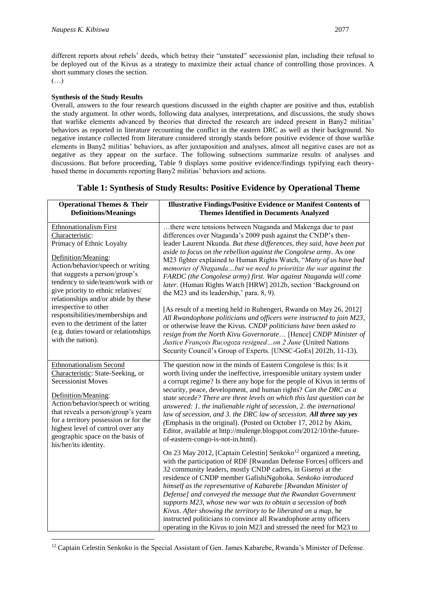different reports about rebels' deeds, which betray their "unstated" secessionist plan, including their refusal to be deployed out of the Kivus as a strategy to maximize their actual chance of controlling those provinces. A short summary closes the section.

 $(\ldots)$ 

#### **Synthesis of the Study Results**

Overall, answers to the four research questions discussed in the eighth chapter are positive and thus, establish the study argument. In other words, following data analyses, interpretations, and discussions, the study shows that warlike elements advanced by theories that directed the research are indeed present in Bany2 militias' behaviors as reported in literature recounting the conflict in the eastern DRC as well as their background. No negative instance collected from literature considered strongly stands before positive evidence of those warlike elements in Bany2 militias' behaviors, as after juxtaposition and analyses, almost all negative cases are not as negative as they appear on the surface. The following subsections summarize results of analyses and discussions. But before proceeding, Table 9 displays some positive evidence/findings typifying each theorybased theme in documents reporting Bany2 militias' behaviors and actions.

| <b>Operational Themes &amp; Their</b><br><b>Definitions/Meanings</b>                                                                                                                                                                                                                                                                                                                                                                                            | <b>Illustrative Findings/Positive Evidence or Manifest Contents of</b><br><b>Themes Identified in Documents Analyzed</b>                                                                                                                                                                                                                                                                                                                                                                                                                                                                                                                                                                                                                                                                                                                                                                                                                                                                                                                                                                                                                                                                                                                                                                                                                 |
|-----------------------------------------------------------------------------------------------------------------------------------------------------------------------------------------------------------------------------------------------------------------------------------------------------------------------------------------------------------------------------------------------------------------------------------------------------------------|------------------------------------------------------------------------------------------------------------------------------------------------------------------------------------------------------------------------------------------------------------------------------------------------------------------------------------------------------------------------------------------------------------------------------------------------------------------------------------------------------------------------------------------------------------------------------------------------------------------------------------------------------------------------------------------------------------------------------------------------------------------------------------------------------------------------------------------------------------------------------------------------------------------------------------------------------------------------------------------------------------------------------------------------------------------------------------------------------------------------------------------------------------------------------------------------------------------------------------------------------------------------------------------------------------------------------------------|
| <b>Ethnonationalism First</b><br>Characteristic:<br>Primacy of Ethnic Loyalty<br>Definition/Meaning:<br>Action/behavior/speech or writing<br>that suggests a person/group's<br>tendency to side/team/work with or<br>give priority to ethnic relatives/<br>relationships and/or abide by these<br>irrespective to other<br>responsibilities/memberships and<br>even to the detriment of the latter<br>(e.g. duties toward or relationships<br>with the nation). | there were tensions between Ntaganda and Makenga due to past<br>differences over Ntaganda's 2009 push against the CNDP's then-<br>leader Laurent Nkunda. But these differences, they said, have been put<br>aside to focus on the rebellion against the Congolese army. As one<br>M23 fighter explained to Human Rights Watch, "Many of us have bad<br>memories of Ntagandabut we need to prioritize the war against the<br>FARDC (the Congolese army) first. War against Ntaganda will come<br>later. (Human Rights Watch [HRW] 2012b, section 'Background on<br>the M23 and its leadership,' para. 8, 9).<br>[As result of a meeting held in Ruhengeri, Rwanda on May 26, 2012]<br>All Rwandophone politicians and officers were instructed to join M23,<br>or otherwise leave the Kivus. CNDP politicians have been asked to<br>resign from the North Kivu Governorate [Hence] CNDP Minister of<br>Justice François Rucogoza resignedon 2 June (United Nations<br>Security Council's Group of Experts. [UNSC-GoEs] 2012b, 11-13).                                                                                                                                                                                                                                                                                                     |
| <b>Ethnonationalism Second</b><br>Characteristic: State-Seeking, or<br><b>Secessionist Moves</b><br>Definition/Meaning:<br>Action/behavior/speech or writing<br>that reveals a person/group's yearn<br>for a territory possession or for the<br>highest level of control over any<br>geographic space on the basis of<br>his/her/its identity.                                                                                                                  | The question now in the minds of Eastern Congolese is this: Is it<br>worth living under the ineffective, irresponsible unitary system under<br>a corrupt regime? Is there any hope for the people of Kivus in terms of<br>security, peace, development, and human rights? Can the DRC as a<br>state secede? There are three levels on which this last question can be<br>answered: 1. the inalienable right of secession, 2. the international<br>law of secession, and 3. the DRC law of secession. All three say yes<br>(Emphasis in the original). (Posted on October 17, 2012 by Akim,<br>Editor, available at http://mulenge.blogspot.com/2012/10/the-future-<br>of-eastern-congo-is-not-in.html).<br>On 23 May 2012, [Captain Celestin] Senkoko <sup>12</sup> organized a meeting,<br>with the participation of RDF [Rwandan Defense Forces] officers and<br>32 community leaders, mostly CNDP cadres, in Gisenyi at the<br>residence of CNDP member GafishiNgoboka. Senkoko introduced<br>himself as the representative of Kabarebe [Rwandan Minister of<br>Defense] and conveyed the message that the Rwandan Government<br>supports M23, whose new war was to obtain a secession of both<br>Kivus. After showing the territory to be liberated on a map, he<br>instructed politicians to convince all Rwandophone army officers |

<sup>&</sup>lt;sup>12</sup> Captain Celestin Senkoko is the Special Assistant of Gen. James Kabarebe, Rwanda's Minister of Defense.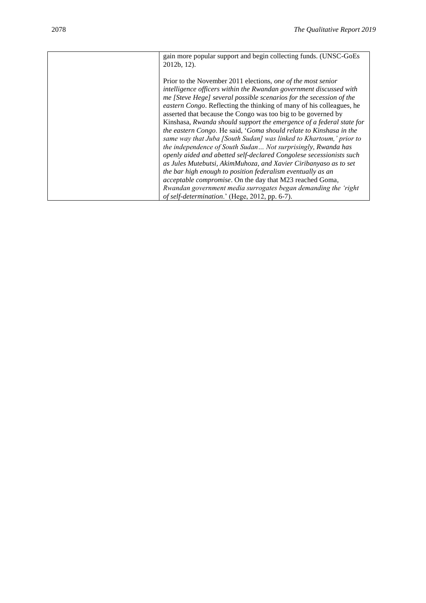| gain more popular support and begin collecting funds. (UNSC-GoEs<br>$2012b, 12$ ).                                                                                                                                                                                                                                                                                                                                                                                                                                                                                                                                                                                                                                                                                                                                                                                                                                                                                                                                                        |
|-------------------------------------------------------------------------------------------------------------------------------------------------------------------------------------------------------------------------------------------------------------------------------------------------------------------------------------------------------------------------------------------------------------------------------------------------------------------------------------------------------------------------------------------------------------------------------------------------------------------------------------------------------------------------------------------------------------------------------------------------------------------------------------------------------------------------------------------------------------------------------------------------------------------------------------------------------------------------------------------------------------------------------------------|
| Prior to the November 2011 elections, one of the most senior<br>intelligence officers within the Rwandan government discussed with<br>me [Steve Hege] several possible scenarios for the secession of the<br><i>eastern Congo</i> . Reflecting the thinking of many of his colleagues, he<br>asserted that because the Congo was too big to be governed by<br>Kinshasa, Rwanda should support the emergence of a federal state for<br>the eastern Congo. He said, 'Goma should relate to Kinshasa in the<br>same way that Juba [South Sudan] was linked to Khartoum,' prior to<br>the independence of South Sudan Not surprisingly, Rwanda has<br>openly aided and abetted self-declared Congolese secessionists such<br>as Jules Mutebutsi, AkimMuhoza, and Xavier Ciribanyaso as to set<br>the bar high enough to position federalism eventually as an<br>acceptable compromise. On the day that M23 reached Goma,<br>Rwandan government media surrogates began demanding the 'right'<br>of self-determination.' (Hege, 2012, pp. 6-7). |
|                                                                                                                                                                                                                                                                                                                                                                                                                                                                                                                                                                                                                                                                                                                                                                                                                                                                                                                                                                                                                                           |